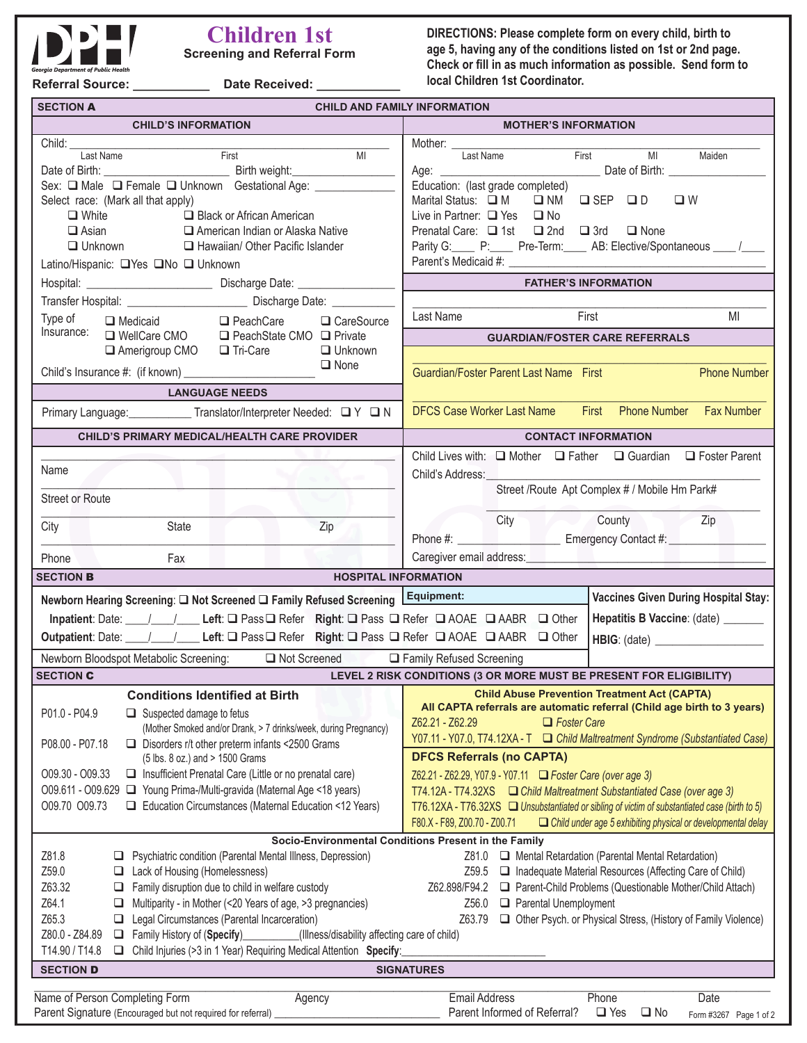

## **Children 1st Screening and Referral Form**

**DIRECTIONS: Please complete form on every child, birth to age 5, having any of the conditions listed on 1st or 2nd page. Check or fill in as much information as possible. Send form to local Children 1st Coordinator.**

**Referral Source: \_\_\_\_\_\_\_\_\_\_\_ Date Received: \_\_\_\_\_\_\_\_\_\_\_\_**

| <b>SECTION A</b> | <b>CHILD AND FAMILY INFORMATION</b> |
|------------------|-------------------------------------|
|                  |                                     |

| <b>CHILD'S INFORMATION</b>                                                                                                                  | <b>MOTHER'S INFORMATION</b>                                                                                                                                 |  |  |  |
|---------------------------------------------------------------------------------------------------------------------------------------------|-------------------------------------------------------------------------------------------------------------------------------------------------------------|--|--|--|
| Child:                                                                                                                                      | Mother: ____                                                                                                                                                |  |  |  |
| M <sub>l</sub><br>First<br>Last Name                                                                                                        | Last Name<br><b>Example 19 First</b> MI<br>Maiden                                                                                                           |  |  |  |
| Sex: ■ Male ■ Female ■ Unknown Gestational Age: _________                                                                                   | Education: (last grade completed)                                                                                                                           |  |  |  |
| Select race: (Mark all that apply)                                                                                                          | Marital Status: □ M<br>$\Box$ NM $\Box$ SEP $\Box$ D<br>$\square$ W                                                                                         |  |  |  |
| Black or African American<br>$\Box$ White                                                                                                   | Live in Partner: □ Yes □ No                                                                                                                                 |  |  |  |
| $\Box$ Asian<br>American Indian or Alaska Native                                                                                            | Prenatal Care: $\Box$ 1st $\Box$ 2nd $\Box$ 3rd<br>$\Box$ None                                                                                              |  |  |  |
| Hawaiian/ Other Pacific Islander<br>$\Box$ Unknown                                                                                          | Parity G: P: P: Pre-Term: AB: Elective/Spontaneous __ /                                                                                                     |  |  |  |
| Latino/Hispanic: Nes ONo Unknown                                                                                                            |                                                                                                                                                             |  |  |  |
|                                                                                                                                             | <b>FATHER'S INFORMATION</b>                                                                                                                                 |  |  |  |
|                                                                                                                                             |                                                                                                                                                             |  |  |  |
|                                                                                                                                             | Last Name<br>First<br>MI                                                                                                                                    |  |  |  |
| Type of <b>O</b> Medicaid <b>O</b> PeachCare <b>O</b> CareSource  Insurance: <b>O</b> WellCare CMO <b>O</b> PeachState CMO <b>O</b> Private | <b>GUARDIAN/FOSTER CARE REFERRALS</b>                                                                                                                       |  |  |  |
| <b>Unknown</b><br>Amerigroup CMO <b>I</b> Tri-Care                                                                                          |                                                                                                                                                             |  |  |  |
| $\Box$ None                                                                                                                                 |                                                                                                                                                             |  |  |  |
|                                                                                                                                             | Guardian/Foster Parent Last Name First<br><b>Phone Number</b>                                                                                               |  |  |  |
| <b>LANGUAGE NEEDS</b>                                                                                                                       |                                                                                                                                                             |  |  |  |
| Primary Language: ____________Translator/Interpreter Needed: QY Q N                                                                         | DFCS Case Worker Last Name First Phone Number Fax Number                                                                                                    |  |  |  |
| <b>CHILD'S PRIMARY MEDICAL/HEALTH CARE PROVIDER</b>                                                                                         | <b>CONTACT INFORMATION</b>                                                                                                                                  |  |  |  |
|                                                                                                                                             | Child Lives with: $\Box$ Mother $\Box$ Father $\Box$ Guardian $\Box$ Foster Parent                                                                          |  |  |  |
| Name                                                                                                                                        | Child's Address:                                                                                                                                            |  |  |  |
| <b>Street or Route</b>                                                                                                                      | Street /Route Apt Complex # / Mobile Hm Park#                                                                                                               |  |  |  |
|                                                                                                                                             |                                                                                                                                                             |  |  |  |
| State<br>Zip<br>City                                                                                                                        | City County County Zip<br>a de la                                                                                                                           |  |  |  |
|                                                                                                                                             | Phone #: _____________________________ Emergency Contact #: ____________________                                                                            |  |  |  |
| Fax<br>Phone                                                                                                                                | Caregiver email address:<br><u>Caregiver</u> email address:                                                                                                 |  |  |  |
| <b>SECTION B</b><br><b>HOSPITAL INFORMATION</b>                                                                                             |                                                                                                                                                             |  |  |  |
| Newborn Hearing Screening: □ Not Screened □ Family Refused Screening Equipment:                                                             | <b>Vaccines Given During Hospital Stay:</b>                                                                                                                 |  |  |  |
|                                                                                                                                             | Hepatitis B Vaccine: (date) ______                                                                                                                          |  |  |  |
| Outpatient: Date: __/__/___ Left: □ Pass □ Refer Right: □ Pass □ Refer □ AOAE □ AABR □ Other                                                |                                                                                                                                                             |  |  |  |
| Newborn Bloodspot Metabolic Screening: □ Not Screened                                                                                       | □ Family Refused Screening                                                                                                                                  |  |  |  |
| <b>SECTION C</b>                                                                                                                            | LEVEL 2 RISK CONDITIONS (3 OR MORE MUST BE PRESENT FOR ELIGIBILITY)                                                                                         |  |  |  |
| <b>Conditions Identified at Birth</b>                                                                                                       | <b>Child Abuse Prevention Treatment Act (CAPTA)</b>                                                                                                         |  |  |  |
| P01.0 - P04.9<br>$\Box$ Suspected damage to fetus                                                                                           | All CAPTA referrals are automatic referral (Child age birth to 3 years)                                                                                     |  |  |  |
| (Mother Smoked and/or Drank, > 7 drinks/week, during Pregnancy)                                                                             | $\Box$ Foster Care<br>Z62.21 - Z62.29                                                                                                                       |  |  |  |
| $\Box$ Disorders r/t other preterm infants <2500 Grams<br>P08.00 - P07.18                                                                   | Y07.11 - Y07.0, T74.12XA - T $\Box$ Child Maltreatment Syndrome (Substantiated Case)                                                                        |  |  |  |
| (5 lbs. 8 oz.) and > 1500 Grams                                                                                                             | <b>DFCS Referrals (no CAPTA)</b>                                                                                                                            |  |  |  |
| O09.30 - O09.33<br>$\Box$ Insufficient Prenatal Care (Little or no prenatal care)                                                           | Z62.21 - Z62.29, Y07.9 - Y07.11 <b>Example 21</b> Foster Care (over age 3)                                                                                  |  |  |  |
| O09.611 - O09.629 □ Young Prima-/Multi-gravida (Maternal Age <18 years)                                                                     | T74.12A - T74.32XS <b>D</b> Child Maltreatment Substantiated Case (over age 3)                                                                              |  |  |  |
| O09.70 O09.73<br>Education Circumstances (Maternal Education <12 Years)                                                                     | T76.12XA - T76.32XS a Unsubstantiated or sibling of victim of substantiated case (birth to 5)                                                               |  |  |  |
|                                                                                                                                             | F80.X - F89, Z00.70 - Z00.71<br>$\Box$ Child under age 5 exhibiting physical or developmental delay<br>Socio-Environmental Conditions Present in the Family |  |  |  |
| Z81.8<br>Psychiatric condition (Parental Mental Illness, Depression)<br>ఆ                                                                   | □ Mental Retardation (Parental Mental Retardation)<br>Z81.0                                                                                                 |  |  |  |
| Z59.0<br>Lack of Housing (Homelessness)                                                                                                     | Inadequate Material Resources (Affecting Care of Child)<br>Z59.5                                                                                            |  |  |  |
| Z63.32<br>$\Box$ Family disruption due to child in welfare custody                                                                          | Z62.898/F94.2<br>□ Parent-Child Problems (Questionable Mother/Child Attach)                                                                                 |  |  |  |
| Z64.1<br>Multiparity - in Mother (<20 Years of age, >3 pregnancies)<br>$\Box$                                                               | Parental Unemployment<br>Z56.0                                                                                                                              |  |  |  |
| Z65.3<br>Legal Circumstances (Parental Incarceration)<br>$\Box$                                                                             | Z63.79<br>Other Psych. or Physical Stress, (History of Family Violence)                                                                                     |  |  |  |
| Z80.0 - Z84.89<br>Family History of (Specify)_______<br>(Illness/disability affecting care of child)                                        |                                                                                                                                                             |  |  |  |
| T14.90 / T14.8<br>□ Child Injuries (>3 in 1 Year) Requiring Medical Attention Specify:                                                      |                                                                                                                                                             |  |  |  |
| <b>SECTION D</b><br><b>SIGNATURES</b>                                                                                                       |                                                                                                                                                             |  |  |  |
|                                                                                                                                             |                                                                                                                                                             |  |  |  |
| Name of Person Completing Form<br>Agency<br>Parent Signature (Encouraged but not required for referral)                                     | <b>Email Address</b><br>Phone<br>Date<br>Parent Informed of Referral?<br>$\Box$ No<br>$\Box$ Yes                                                            |  |  |  |
|                                                                                                                                             | Form #3267 Page 1 of 2                                                                                                                                      |  |  |  |